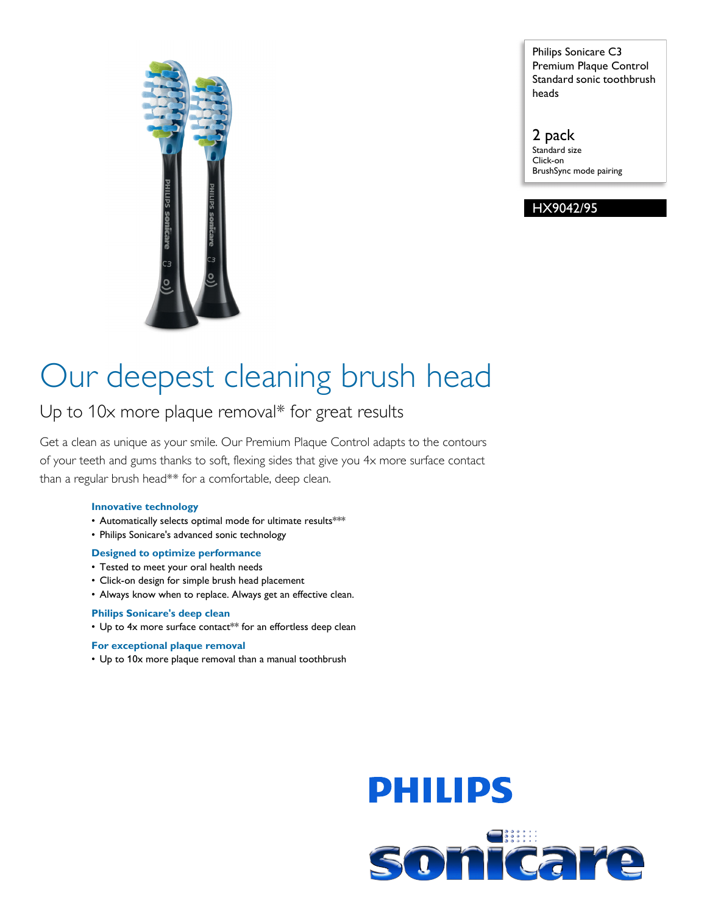

Philips Sonicare C3 Premium Plaque Control Standard sonic toothbrush heads

2 pack Standard size Click-on BrushSync mode pairing

#### HX9042/95

# Our deepest cleaning brush head

## Up to 10x more plaque removal\* for great results

Get a clean as unique as your smile. Our Premium Plaque Control adapts to the contours of your teeth and gums thanks to soft, flexing sides that give you 4x more surface contact than a regular brush head\*\* for a comfortable, deep clean.

#### **Innovative technology**

- Automatically selects optimal mode for ultimate results\*\*\*
- Philips Sonicare's advanced sonic technology

#### **Designed to optimize performance**

- Tested to meet your oral health needs
- Click-on design for simple brush head placement
- Always know when to replace. Always get an effective clean.

#### **Philips Sonicare's deep clean**

• Up to 4x more surface contact\*\* for an effortless deep clean

#### **For exceptional plaque removal**

• Up to 10x more plaque removal than a manual toothbrush

# **PHILIPS** sonicare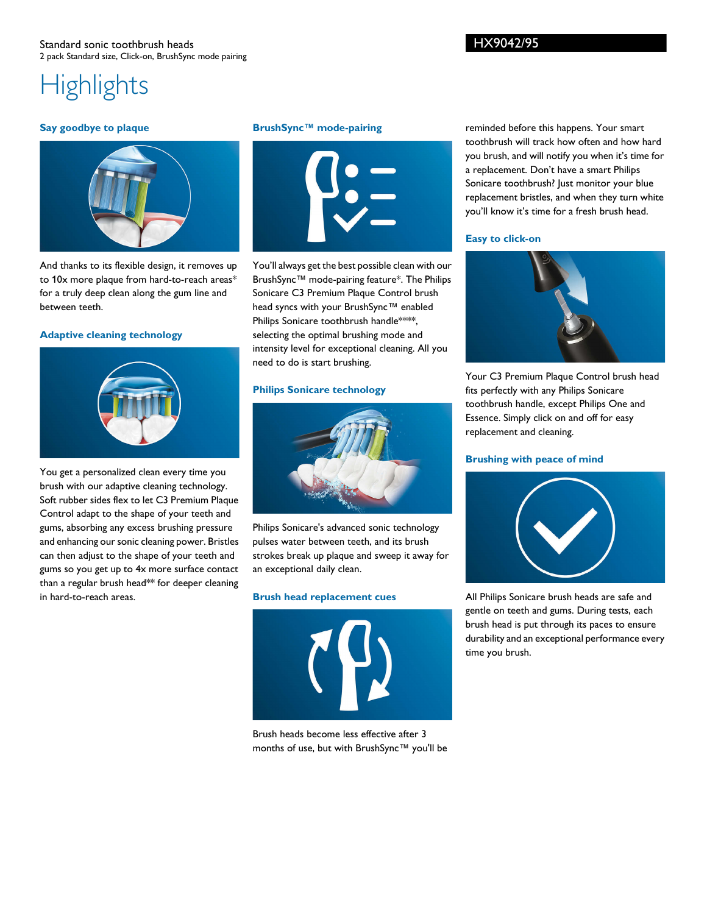## **Highlights**

#### **Say goodbye to plaque**



And thanks to its flexible design, it removes up to 10x more plaque from hard-to-reach areas\* for a truly deep clean along the gum line and between teeth.

#### **Adaptive cleaning technology**



You get a personalized clean every time you brush with our adaptive cleaning technology. Soft rubber sides flex to let C3 Premium Plaque Control adapt to the shape of your teeth and gums, absorbing any excess brushing pressure and enhancing our sonic cleaning power. Bristles can then adjust to the shape of your teeth and gums so you get up to 4x more surface contact than a regular brush head\*\* for deeper cleaning in hard-to-reach areas.

#### **BrushSync™ mode-pairing**



You'll always get the best possible clean with our BrushSync™ mode-pairing feature\*. The Philips Sonicare C3 Premium Plaque Control brush head syncs with your BrushSync™ enabled Philips Sonicare toothbrush handle\*\*\*\*, selecting the optimal brushing mode and intensity level for exceptional cleaning. All you need to do is start brushing.

#### **Philips Sonicare technology**



Philips Sonicare's advanced sonic technology pulses water between teeth, and its brush strokes break up plaque and sweep it away for an exceptional daily clean.

#### **Brush head replacement cues**



Brush heads become less effective after 3 months of use, but with BrushSync™ you'll be

reminded before this happens. Your smart toothbrush will track how often and how hard you brush, and will notify you when it's time for a replacement. Don't have a smart Philips Sonicare toothbrush? Just monitor your blue replacement bristles, and when they turn white you'll know it's time for a fresh brush head.

#### **Easy to click-on**



Your C3 Premium Plaque Control brush head fits perfectly with any Philips Sonicare toothbrush handle, except Philips One and Essence. Simply click on and off for easy replacement and cleaning.

#### **Brushing with peace of mind**



All Philips Sonicare brush heads are safe and gentle on teeth and gums. During tests, each brush head is put through its paces to ensure durability and an exceptional performance every time you brush.